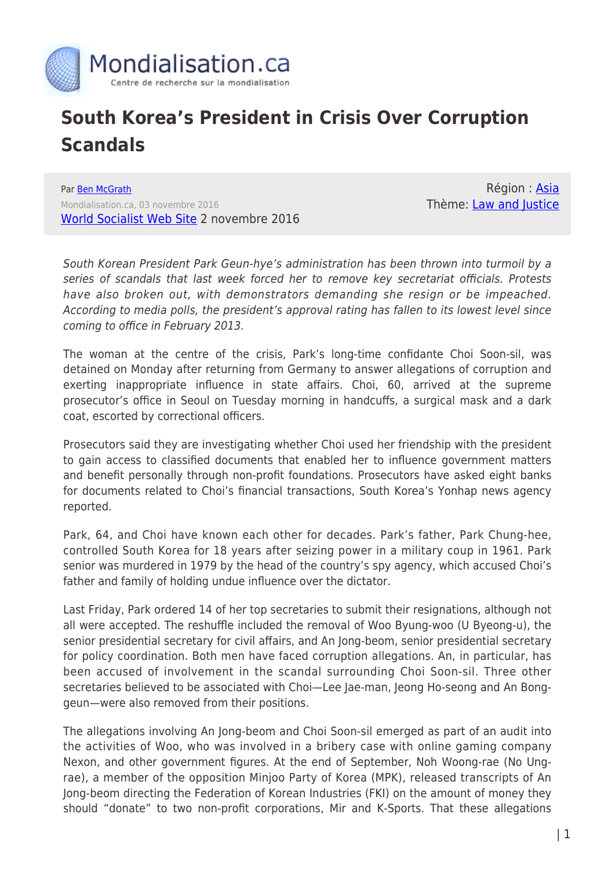

## **South Korea's President in Crisis Over Corruption Scandals**

Par [Ben McGrath](https://www.mondialisation.ca/author/ben-mcgrath) Mondialisation.ca, 03 novembre 2016 [World Socialist Web Site](http://www.wsws.org/en/articles/2016/11/02/skor-n02.html) 2 novembre 2016

Région : [Asia](https://www.mondialisation.ca/region/asia) Thème: [Law and Justice](https://www.mondialisation.ca/theme/law-and-justice)

South Korean President Park Geun-hye's administration has been thrown into turmoil by a series of scandals that last week forced her to remove key secretariat officials. Protests have also broken out, with demonstrators demanding she resign or be impeached. According to media polls, the president's approval rating has fallen to its lowest level since coming to office in February 2013.

The woman at the centre of the crisis, Park's long-time confidante Choi Soon-sil, was detained on Monday after returning from Germany to answer allegations of corruption and exerting inappropriate influence in state affairs. Choi, 60, arrived at the supreme prosecutor's office in Seoul on Tuesday morning in handcuffs, a surgical mask and a dark coat, escorted by correctional officers.

Prosecutors said they are investigating whether Choi used her friendship with the president to gain access to classified documents that enabled her to influence government matters and benefit personally through non-profit foundations. Prosecutors have asked eight banks for documents related to Choi's financial transactions, South Korea's Yonhap news agency reported.

Park, 64, and Choi have known each other for decades. Park's father, Park Chung-hee, controlled South Korea for 18 years after seizing power in a military coup in 1961. Park senior was murdered in 1979 by the head of the country's spy agency, which accused Choi's father and family of holding undue influence over the dictator.

Last Friday, Park ordered 14 of her top secretaries to submit their resignations, although not all were accepted. The reshuffle included the removal of Woo Byung-woo (U Byeong-u), the senior presidential secretary for civil affairs, and An Jong-beom, senior presidential secretary for policy coordination. Both men have faced corruption allegations. An, in particular, has been accused of involvement in the scandal surrounding Choi Soon-sil. Three other secretaries believed to be associated with Choi—Lee Jae-man, Jeong Ho-seong and An Bonggeun—were also removed from their positions.

The allegations involving An Jong-beom and Choi Soon-sil emerged as part of an audit into the activities of Woo, who was involved in a bribery case with online gaming company Nexon, and other government figures. At the end of September, Noh Woong-rae (No Ungrae), a member of the opposition Minjoo Party of Korea (MPK), released transcripts of An Jong-beom directing the Federation of Korean Industries (FKI) on the amount of money they should "donate" to two non-profit corporations, Mir and K-Sports. That these allegations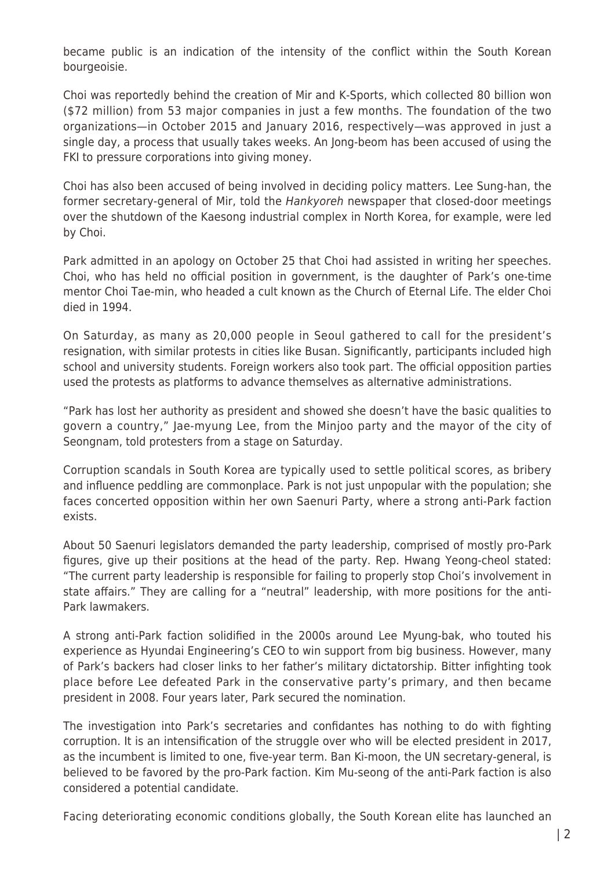became public is an indication of the intensity of the conflict within the South Korean bourgeoisie.

Choi was reportedly behind the creation of Mir and K-Sports, which collected 80 billion won (\$72 million) from 53 major companies in just a few months. The foundation of the two organizations—in October 2015 and January 2016, respectively—was approved in just a single day, a process that usually takes weeks. An Jong-beom has been accused of using the FKI to pressure corporations into giving money.

Choi has also been accused of being involved in deciding policy matters. Lee Sung-han, the former secretary-general of Mir, told the Hankyoreh newspaper that closed-door meetings over the shutdown of the Kaesong industrial complex in North Korea, for example, were led by Choi.

Park admitted in an apology on October 25 that Choi had assisted in writing her speeches. Choi, who has held no official position in government, is the daughter of Park's one-time mentor Choi Tae-min, who headed a cult known as the Church of Eternal Life. The elder Choi died in 1994.

On Saturday, as many as 20,000 people in Seoul gathered to call for the president's resignation, with similar protests in cities like Busan. Significantly, participants included high school and university students. Foreign workers also took part. The official opposition parties used the protests as platforms to advance themselves as alternative administrations.

"Park has lost her authority as president and showed she doesn't have the basic qualities to govern a country," Jae-myung Lee, from the Minjoo party and the mayor of the city of Seongnam, told protesters from a stage on Saturday.

Corruption scandals in South Korea are typically used to settle political scores, as bribery and influence peddling are commonplace. Park is not just unpopular with the population; she faces concerted opposition within her own Saenuri Party, where a strong anti-Park faction exists.

About 50 Saenuri legislators demanded the party leadership, comprised of mostly pro-Park figures, give up their positions at the head of the party. Rep. Hwang Yeong-cheol stated: "The current party leadership is responsible for failing to properly stop Choi's involvement in state affairs." They are calling for a "neutral" leadership, with more positions for the anti-Park lawmakers.

A strong anti-Park faction solidified in the 2000s around Lee Myung-bak, who touted his experience as Hyundai Engineering's CEO to win support from big business. However, many of Park's backers had closer links to her father's military dictatorship. Bitter infighting took place before Lee defeated Park in the conservative party's primary, and then became president in 2008. Four years later, Park secured the nomination.

The investigation into Park's secretaries and confidantes has nothing to do with fighting corruption. It is an intensification of the struggle over who will be elected president in 2017, as the incumbent is limited to one, five-year term. Ban Ki-moon, the UN secretary-general, is believed to be favored by the pro-Park faction. Kim Mu-seong of the anti-Park faction is also considered a potential candidate.

Facing deteriorating economic conditions globally, the South Korean elite has launched an